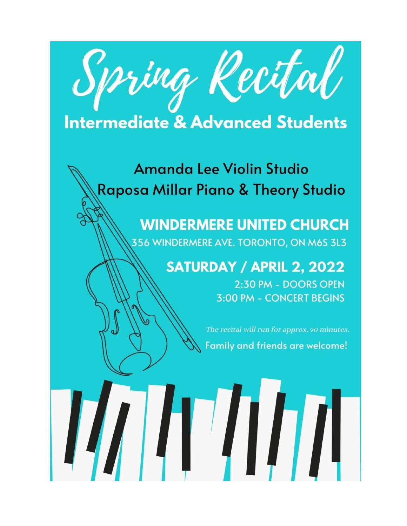

# **Intermediate & Advanced Students**

# **Amanda Lee Violin Studio** Raposa Millar Piano & Theory Studio

# **WINDERMERE UNITED CHURCH** 356 WINDERMERE AVE. TORONTO, ON M6S 3L3

# **SATURDAY / APRIL 2, 2022**

2:30 PM - DOORS OPEN 3:00 PM - CONCERT BEGINS

The recital will run for approx. 90 minutes. Family and friends are welcome!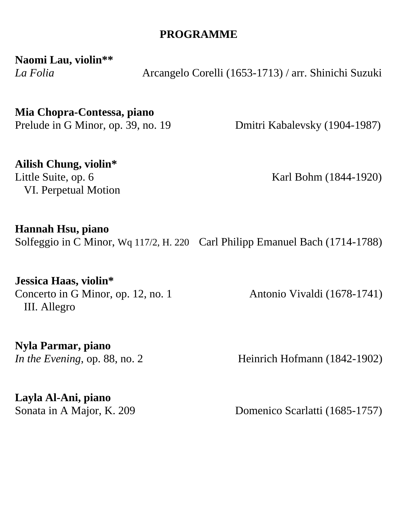#### **PROGRAMME**

**Naomi Lau, violin\*\***

*La Folia* Arcangelo Corelli (1653-1713) / arr. Shinichi Suzuki

### **Mia Chopra-Contessa, piano**

Prelude in G Minor, op. 39, no. 19 Dmitri Kabalevsky (1904-1987)

#### **Ailish Chung, violin\***

VI. Perpetual Motion

Little Suite, op. 6 Karl Bohm (1844-1920)

#### **Hannah Hsu, piano**

Solfeggio in C Minor, Wq 117/2, H. 220 Carl Philipp Emanuel Bach (1714-1788)

#### **Jessica Haas, violin\***

Concerto in G Minor, op. 12, no. 1 Antonio Vivaldi (1678-1741) III. Allegro

**Nyla Parmar, piano**

*In the Evening*, op. 88, no. 2 **Heinrich Hofmann** (1842-1902)

**Layla Al-Ani, piano**

Sonata in A Major, K. 209 Domenico Scarlatti (1685-1757)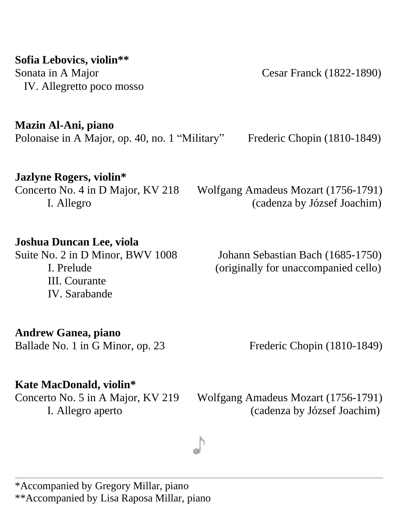#### **Sofia Lebovics, violin\*\***

Sonata in A Major Cesar Franck (1822-1890) IV. Allegretto poco mosso

**Mazin Al-Ani, piano**

Polonaise in A Major, op. 40, no. 1 "Military" Frederic Chopin (1810-1849)

### **Jazlyne Rogers, violin\***

## Concerto No. 4 in D Major, KV 218 Wolfgang Amadeus Mozart (1756-1791) I. Allegro (cadenza by József Joachim)

### **Joshua Duncan Lee, viola**

III. Courante IV. Sarabande

Suite No. 2 in D Minor, BWV 1008 Johann Sebastian Bach (1685-1750) I. Prelude (originally for unaccompanied cello)

### **Andrew Ganea, piano**

Ballade No. 1 in G Minor, op. 23 Frederic Chopin (1810-1849)

## **Kate MacDonald, violin\***

Concerto No. 5 in A Major, KV 219 Wolfgang Amadeus Mozart (1756-1791) I. Allegro aperto (cadenza by József Joachim)

\*Accompanied by Gregory Millar, piano \*\*Accompanied by Lisa Raposa Millar, piano